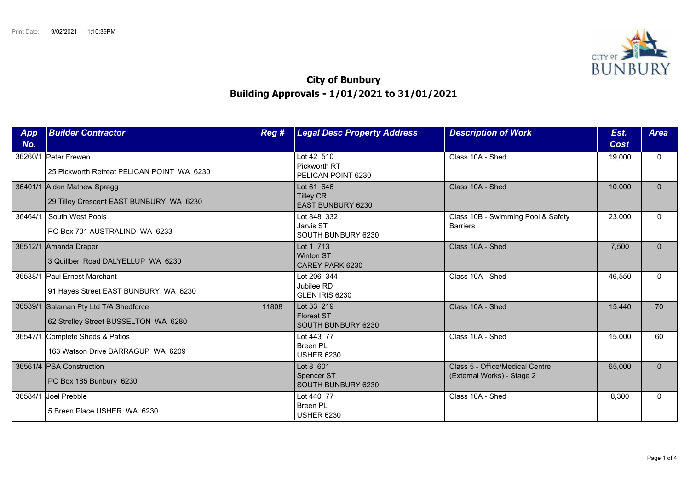

## **City of Bunbury Building Approvals - 1/01/2021 to 31/01/2021**

| App<br>No. | <b>Builder Contractor</b>                                                     | Reg # | <b>Legal Desc Property Address</b>                         | <b>Description of Work</b>                                    | Est.<br>Cost | <b>Area</b>  |
|------------|-------------------------------------------------------------------------------|-------|------------------------------------------------------------|---------------------------------------------------------------|--------------|--------------|
| 36260/1    | <b>Peter Frewen</b><br>25 Pickworth Retreat PELICAN POINT WA 6230             |       | Lot 42 510<br>Pickworth RT<br>PELICAN POINT 6230           | Class 10A - Shed                                              | 19,000       | $\mathbf{0}$ |
|            | 36401/1 Aiden Mathew Spragg<br>29 Tilley Crescent EAST BUNBURY WA 6230        |       | Lot 61 646<br><b>Tilley CR</b><br><b>EAST BUNBURY 6230</b> | Class 10A - Shed                                              | 10,000       | $\mathbf{0}$ |
| 36464/1    | South West Pools<br>PO Box 701 AUSTRALIND WA 6233                             |       | Lot 848 332<br>Jarvis ST<br>SOUTH BUNBURY 6230             | Class 10B - Swimming Pool & Safety<br><b>Barriers</b>         | 23,000       | $\Omega$     |
|            | 36512/1 Amanda Draper<br>3 Quillben Road DALYELLUP WA 6230                    |       | Lot 1 713<br><b>Winton ST</b><br>CAREY PARK 6230           | Class 10A - Shed                                              | 7,500        | $\Omega$     |
| 36538/1    | <b>Paul Ernest Marchant</b><br>91 Hayes Street EAST BUNBURY WA 6230           |       | Lot 206 344<br>Jubilee RD<br>GLEN IRIS 6230                | Class 10A - Shed                                              | 46,550       | $\Omega$     |
|            | 36539/1 Salaman Pty Ltd T/A Shedforce<br>62 Strelley Street BUSSELTON WA 6280 | 11808 | Lot 33 219<br><b>Floreat ST</b><br>SOUTH BUNBURY 6230      | Class 10A - Shed                                              | 15,440       | 70           |
| 36547/1    | Complete Sheds & Patios<br>163 Watson Drive BARRAGUP WA 6209                  |       | Lot 443 77<br>Breen PL<br><b>USHER 6230</b>                | Class 10A - Shed                                              | 15,000       | 60           |
|            | 36561/4 PSA Construction<br>PO Box 185 Bunbury 6230                           |       | Lot 8 601<br>Spencer ST<br><b>SOUTH BUNBURY 6230</b>       | Class 5 - Office/Medical Centre<br>(External Works) - Stage 2 | 65,000       | $\Omega$     |
|            | 36584/1 Joel Prebble<br>5 Breen Place USHER WA 6230                           |       | Lot 440 77<br><b>Breen PL</b><br><b>USHER 6230</b>         | Class 10A - Shed                                              | 8,300        | $\Omega$     |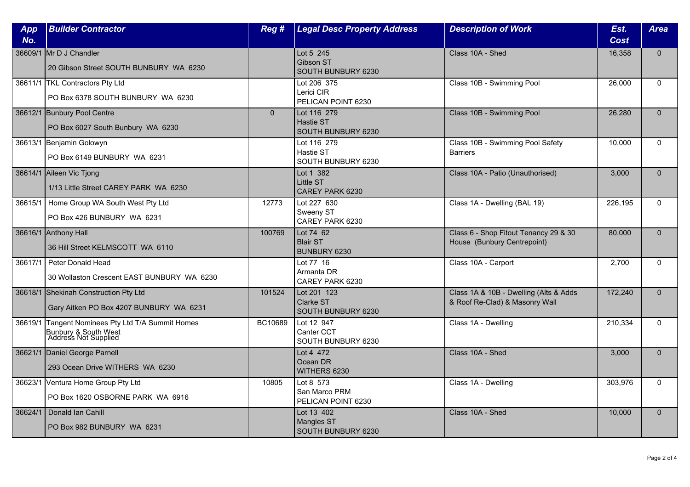| App<br>No. | <b>Builder Contractor</b>                                                                         | Reg #          | <b>Legal Desc Property Address</b>                           | <b>Description of Work</b>                                               | Est.<br>Cost | <b>Area</b>  |
|------------|---------------------------------------------------------------------------------------------------|----------------|--------------------------------------------------------------|--------------------------------------------------------------------------|--------------|--------------|
|            | 36609/1 Mr D J Chandler<br>20 Gibson Street SOUTH BUNBURY WA 6230                                 |                | Lot 5 245<br>Gibson ST<br>SOUTH BUNBURY 6230                 | Class 10A - Shed                                                         | 16,358       | $\mathbf{0}$ |
|            | 36611/1 TKL Contractors Pty Ltd<br>PO Box 6378 SOUTH BUNBURY WA 6230                              |                | Lot 206 375<br>Lerici CIR<br>PELICAN POINT 6230              | Class 10B - Swimming Pool                                                | 26,000       | $\Omega$     |
|            | 36612/1 Bunbury Pool Centre<br>PO Box 6027 South Bunbury WA 6230                                  | $\overline{0}$ | Lot 116 279<br><b>Hastie ST</b><br><b>SOUTH BUNBURY 6230</b> | Class 10B - Swimming Pool                                                | 26,280       | $\mathbf{0}$ |
|            | 36613/1 Benjamin Golowyn<br>PO Box 6149 BUNBURY WA 6231                                           |                | Lot 116 279<br>Hastie ST<br>SOUTH BUNBURY 6230               | Class 10B - Swimming Pool Safety<br><b>Barriers</b>                      | 10,000       | $\mathbf{0}$ |
|            | 36614/1 Aileen Vic Tjong<br>1/13 Little Street CAREY PARK WA 6230                                 |                | Lot 1 382<br>Little ST<br>CAREY PARK 6230                    | Class 10A - Patio (Unauthorised)                                         | 3,000        | $\Omega$     |
| 36615/1    | Home Group WA South West Pty Ltd<br>PO Box 426 BUNBURY WA 6231                                    | 12773          | Lot 227 630<br>Sweeny ST<br>CAREY PARK 6230                  | Class 1A - Dwelling (BAL 19)                                             | 226,195      | $\Omega$     |
|            | 36616/1 Anthony Hall<br>36 Hill Street KELMSCOTT WA 6110                                          | 100769         | Lot 74 62<br><b>Blair ST</b><br>BUNBURY 6230                 | Class 6 - Shop Fitout Tenancy 29 & 30<br>House (Bunbury Centrepoint)     | 80,000       | $\mathbf{0}$ |
| 36617/1    | Peter Donald Head<br>30 Wollaston Crescent EAST BUNBURY WA 6230                                   |                | Lot 77 16<br>Armanta DR<br>CAREY PARK 6230                   | Class 10A - Carport                                                      | 2,700        | $\mathbf{0}$ |
|            | 36618/1 Shekinah Construction Pty Ltd<br>Gary Aitken PO Box 4207 BUNBURY WA 6231                  | 101524         | Lot 201 123<br>Clarke ST<br>SOUTH BUNBURY 6230               | Class 1A & 10B - Dwelling (Alts & Adds<br>& Roof Re-Clad) & Masonry Wall | 172,240      | $\Omega$     |
|            | 36619/1 Tangent Nominees Pty Ltd T/A Summit Homes<br>Bunbury & South West<br>Address Not Supplied | BC10689        | Lot 12 947<br>Canter CCT<br>SOUTH BUNBURY 6230               | Class 1A - Dwelling                                                      | 210,334      | $\mathbf{0}$ |
|            | 36621/1 Daniel George Parnell<br>293 Ocean Drive WITHERS WA 6230                                  |                | Lot 4 472<br>Ocean DR<br>WITHERS 6230                        | Class 10A - Shed                                                         | 3,000        | $\mathbf{0}$ |
|            | 36623/1 Ventura Home Group Pty Ltd<br>PO Box 1620 OSBORNE PARK WA 6916                            | 10805          | Lot 8 573<br>San Marco PRM<br>PELICAN POINT 6230             | Class 1A - Dwelling                                                      | 303,976      | $\Omega$     |
| 36624/1    | Donald Ian Cahill<br>PO Box 982 BUNBURY WA 6231                                                   |                | Lot 13 402<br><b>Mangles ST</b><br>SOUTH BUNBURY 6230        | Class 10A - Shed                                                         | 10,000       | $\mathbf{0}$ |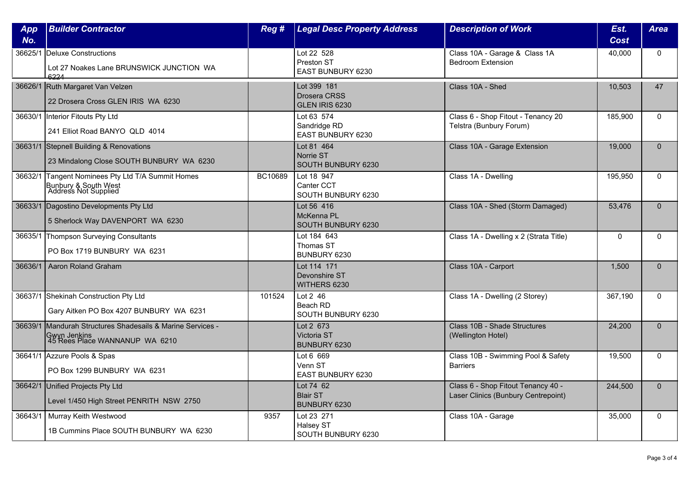| App<br>No. | <b>Builder Contractor</b>                                                                                      | Reg #   | <b>Legal Desc Property Address</b>                   | <b>Description of Work</b>                                                | Est.<br>Cost | <b>Area</b>  |
|------------|----------------------------------------------------------------------------------------------------------------|---------|------------------------------------------------------|---------------------------------------------------------------------------|--------------|--------------|
|            | 36625/1 Deluxe Constructions<br>Lot 27 Noakes Lane BRUNSWICK JUNCTION WA<br>4224                               |         | Lot 22 528<br>Preston ST<br><b>EAST BUNBURY 6230</b> | Class 10A - Garage & Class 1A<br><b>Bedroom Extension</b>                 | 40,000       | $\Omega$     |
|            | 36626/1 Ruth Margaret Van Velzen<br>22 Drosera Cross GLEN IRIS WA 6230                                         |         | Lot 399 181<br>Drosera CRSS<br>GLEN IRIS 6230        | Class 10A - Shed                                                          | 10.503       | 47           |
|            | 36630/1 Interior Fitouts Pty Ltd<br>241 Elliot Road BANYO QLD 4014                                             |         | Lot 63 574<br>Sandridge RD<br>EAST BUNBURY 6230      | Class 6 - Shop Fitout - Tenancy 20<br>Telstra (Bunbury Forum)             | 185,900      | $\Omega$     |
|            | 36631/1 Stepnell Building & Renovations<br>23 Mindalong Close SOUTH BUNBURY WA 6230                            |         | Lot 81 464<br>Norrie ST<br>SOUTH BUNBURY 6230        | Class 10A - Garage Extension                                              | 19,000       | $\Omega$     |
| 36632/1    | Tangent Nominees Pty Ltd T/A Summit Homes<br>Bunbury & South West<br>  Address Not Supplied                    | BC10689 | Lot 18 947<br>Canter CCT<br>SOUTH BUNBURY 6230       | Class 1A - Dwelling                                                       | 195,950      | $\Omega$     |
|            | 36633/1 Dagostino Developments Pty Ltd<br>5 Sherlock Way DAVENPORT WA 6230                                     |         | Lot 56 416<br>McKenna PL<br>SOUTH BUNBURY 6230       | Class 10A - Shed (Storm Damaged)                                          | 53,476       | $\Omega$     |
|            | 36635/1 Thompson Surveying Consultants<br>PO Box 1719 BUNBURY WA 6231                                          |         | Lot 184 643<br>Thomas ST<br>BUNBURY 6230             | Class 1A - Dwelling x 2 (Strata Title)                                    | $\mathbf 0$  | $\mathbf{0}$ |
| 36636/1    | Aaron Roland Graham                                                                                            |         | Lot 114 171<br>Devonshire ST<br>WITHERS 6230         | Class 10A - Carport                                                       | 1.500        | $\Omega$     |
|            | 36637/1 Shekinah Construction Pty Ltd<br>Gary Aitken PO Box 4207 BUNBURY WA 6231                               | 101524  | Lot 2 46<br>Beach RD<br>SOUTH BUNBURY 6230           | Class 1A - Dwelling (2 Storey)                                            | 367,190      | $\Omega$     |
|            | 36639/1 Mandurah Structures Shadesails & Marine Services -<br>Gwyn Jenkins<br>  45 Rees Place WANNANUP WA 6210 |         | Lot 2 673<br><b>Victoria ST</b><br>BUNBURY 6230      | Class 10B - Shade Structures<br>(Wellington Hotel)                        | 24,200       | $\Omega$     |
|            | 36641/1 Azzure Pools & Spas<br>PO Box 1299 BUNBURY WA 6231                                                     |         | Lot 6 669<br>Venn ST<br>EAST BUNBURY 6230            | Class 10B - Swimming Pool & Safety<br><b>Barriers</b>                     | 19,500       | $\mathbf 0$  |
|            | 36642/1 Unified Projects Pty Ltd<br>Level 1/450 High Street PENRITH NSW 2750                                   |         | Lot 74 62<br><b>Blair ST</b><br>BUNBURY 6230         | Class 6 - Shop Fitout Tenancy 40 -<br>Laser Clinics (Bunbury Centrepoint) | 244,500      | $\Omega$     |
| 36643/1    | Murray Keith Westwood<br>1B Cummins Place SOUTH BUNBURY WA 6230                                                | 9357    | Lot 23 271<br>Halsey ST<br>SOUTH BUNBURY 6230        | Class 10A - Garage                                                        | 35,000       | $\mathbf{0}$ |